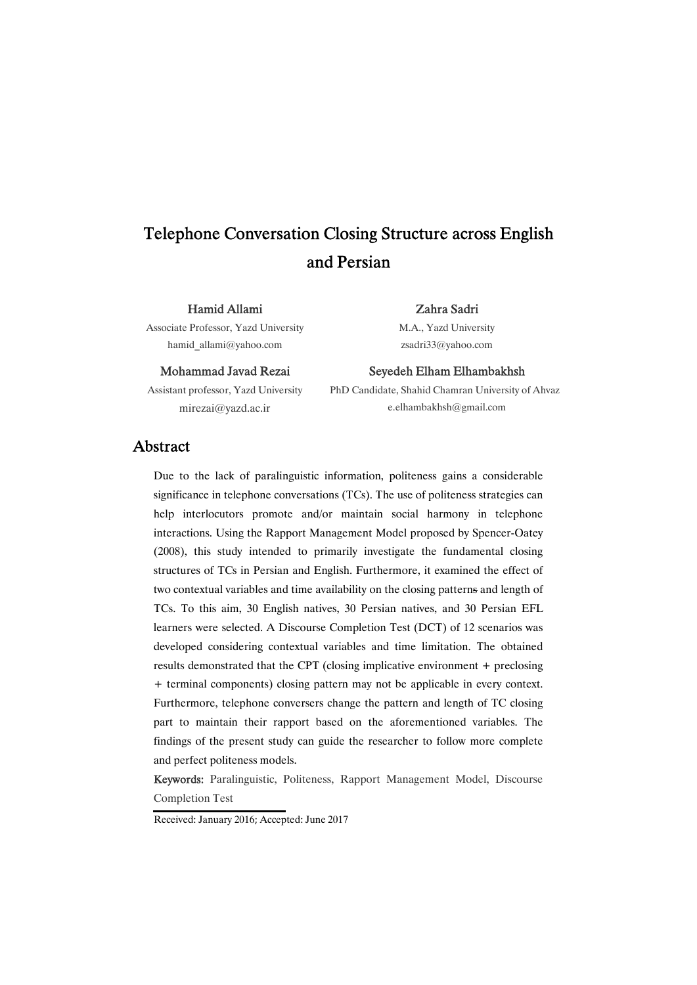# Telephone Conversation Closing Structure across English and Persian

#### HamidAllami

Associate Professor, Yazd University hamid\_allami@yahoo.com

#### Mohammad Javad Rezai

Assistant professor, Yazd University mirezai@yazd.ac.ir

#### Zahra Sadri

M.A., Yazd University zsadri33@yahoo.com

#### Seyedeh Elham Elhambakhsh

PhD Candidate, Shahid Chamran University of Ahvaz e.elhambakhsh@gmail.com

### Abstract

Due to the lack of paralinguistic information, politeness gains a considerable significance in telephone conversations (TCs). The use of politeness strategies can help interlocutors promote and/or maintain social harmony in telephone interactions. Using the Rapport Management Model proposed by Spencer-Oatey (2008), this study intended to primarily investigate the fundamental closing structures of TCs in Persian and English. Furthermore, it examined the effect of two contextual variables and time availability on the closing patterns and length of TCs. To this aim, 30 English natives, 30 Persian natives, and 30 Persian EFL learners were selected. A Discourse Completion Test (DCT) of 12 scenarios was developed considering contextual variables and time limitation. The obtained results demonstrated that the CPT (closing implicative environment  $+$  preclosing + terminal components) closing pattern may not be applicable in every context. Furthermore, telephone conversers change the pattern and length of TC closing part to maintain their rapport based on the aforementioned variables. The findings of the present study can guide the researcher to follow more complete and perfect politeness models.

Keywords: Paralinguistic, Politeness, Rapport Management Model, Discourse Completion Test

Received: January 2016; Accepted: June 2017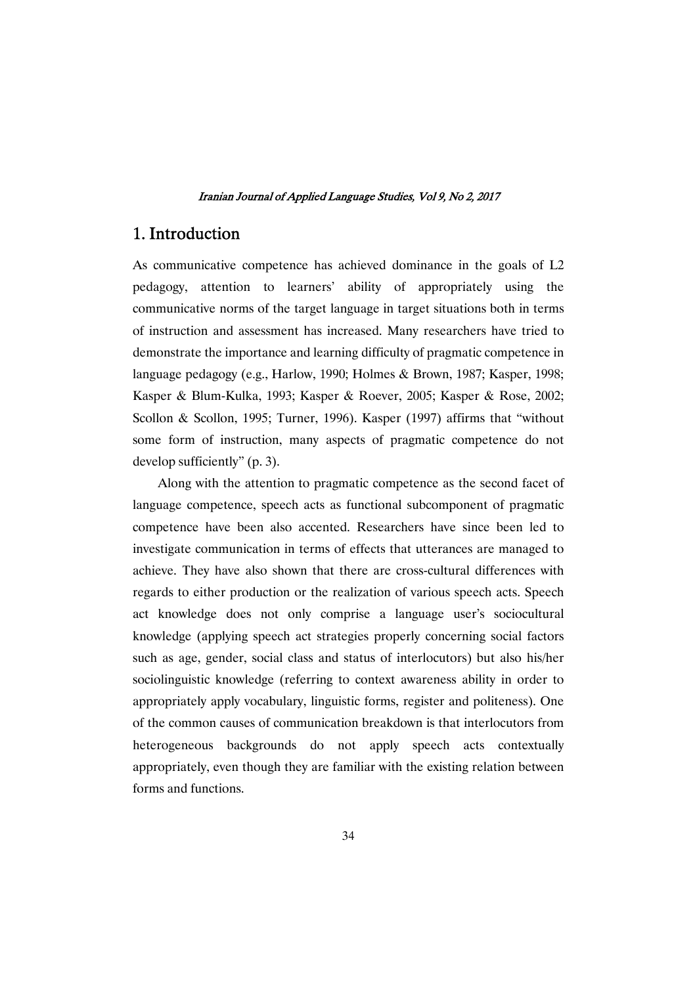### 1.Introduction

As communicative competence has achieved dominance in the goals of L2 pedagogy, attention to learners' ability of appropriately using the communicative norms of the target language in target situations both in terms of instruction and assessment has increased. Many researchers have tried to demonstrate the importance and learning difficulty of pragmatic competence in language pedagogy (e.g., Harlow, 1990; Holmes & Brown, 1987; Kasper, 1998; Kasper & Blum-Kulka, 1993; Kasper & Roever, 2005; Kasper & Rose, 2002; Scollon & Scollon, 1995; Turner, 1996). Kasper (1997) affirms that "without some form of instruction, many aspects of pragmatic competence do not develop sufficiently" (p. 3).

Along with the attention to pragmatic competence as the second facet of language competence, speech acts as functional subcomponent of pragmatic competence have been also accented. Researchers have since been led to investigate communication in terms of effects that utterances are managed to achieve. They have also shown that there are cross-cultural differences with regards to either production or the realization of various speech acts. Speech act knowledge does not only comprise a language user's sociocultural knowledge (applying speech act strategies properly concerning social factors such as age, gender, social class and status of interlocutors) but also his/her sociolinguistic knowledge (referring to context awareness ability in order to appropriately apply vocabulary, linguistic forms, register and politeness). One of the common causes of communication breakdown is that interlocutors from heterogeneous backgrounds do not apply speech acts contextually appropriately, even though they are familiar with the existing relation between forms and functions.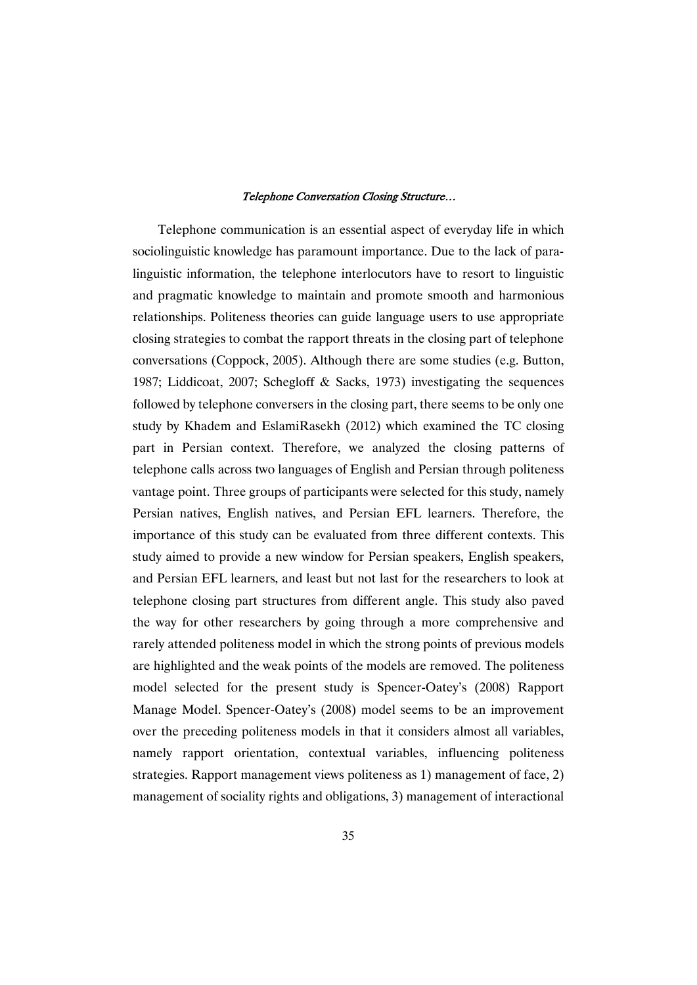Telephone communication is an essential aspect of everyday life in which sociolinguistic knowledge has paramount importance. Due to the lack of paralinguistic information, the telephone interlocutors have to resort to linguistic and pragmatic knowledge to maintain and promote smooth and harmonious relationships. Politeness theories can guide language users to use appropriate closing strategies to combat the rapport threats in the closing part of telephone conversations (Coppock, 2005). Although there are some studies (e.g. Button, 1987; Liddicoat, 2007; Schegloff & Sacks, 1973) investigating the sequences followed by telephone conversers in the closing part, there seems to be only one study by Khadem and EslamiRasekh (2012) which examined the TC closing part in Persian context. Therefore, we analyzed the closing patterns of telephone calls across two languages of English and Persian through politeness vantage point. Three groups of participants were selected for this study, namely Persian natives, English natives, and Persian EFL learners. Therefore, the importance of this study can be evaluated from three different contexts. This study aimed to provide a new window for Persian speakers, English speakers, and Persian EFL learners, and least but not last for the researchers to look at telephone closing part structures from different angle. This study also paved the way for other researchers by going through a more comprehensive and rarely attended politeness model in which the strong points of previous models are highlighted and the weak points of the models are removed. The politeness model selected for the present study is Spencer-Oatey's (2008) Rapport Manage Model. Spencer-Oatey's (2008) model seems to be an improvement over the preceding politeness models in that it considers almost all variables, namely rapport orientation, contextual variables, influencing politeness strategies. Rapport management views politeness as 1) management of face, 2) management of sociality rights and obligations, 3) management of interactional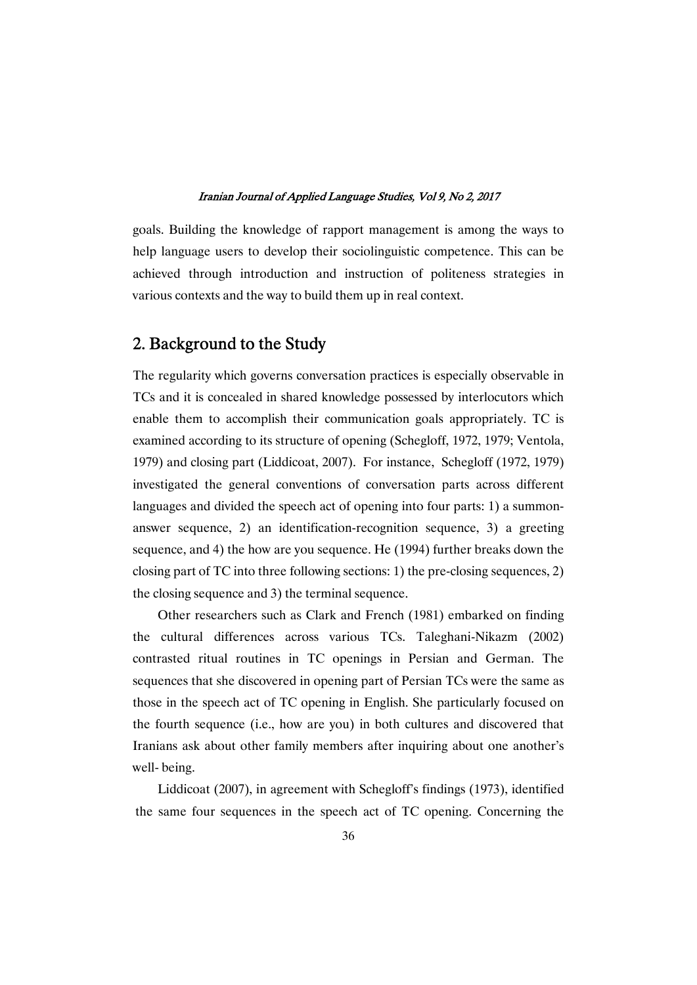goals. Building the knowledge of rapport management is among the ways to help language users to develop their sociolinguistic competence. This can be achieved through introduction and instruction of politeness strategies in various contexts and the way to build them up in real context.

## 2. Background to the Study

The regularity which governs conversation practices is especially observable in TCs and it is concealed in shared knowledge possessed by interlocutors which enable them to accomplish their communication goals appropriately. TC is examined according to its structure of opening (Schegloff, 1972, 1979; Ventola, 1979) and closing part (Liddicoat, 2007). For instance, Schegloff (1972, 1979) investigated the general conventions of conversation parts across different languages and divided the speech act of opening into four parts: 1) a summonanswer sequence, 2) an identification-recognition sequence, 3) a greeting sequence, and 4) the how are you sequence. He (1994) further breaks down the closing part of TC into three following sections: 1) the pre-closing sequences, 2) the closing sequence and 3) the terminal sequence.

Other researchers such as Clark and French (1981) embarked on finding the cultural differences across various TCs. Taleghani-Nikazm (2002) contrasted ritual routines in TC openings in Persian and German. The sequences that she discovered in opening part of Persian TCs were the same as those in the speech act of TC opening in English. She particularly focused on the fourth sequence (i.e., how are you) in both cultures and discovered that Iranians ask about other family members after inquiring about one another's well-being.

Liddicoat (2007), in agreement with Schegloff's findings (1973), identified the same four sequences in the speech act of TC opening. Concerning the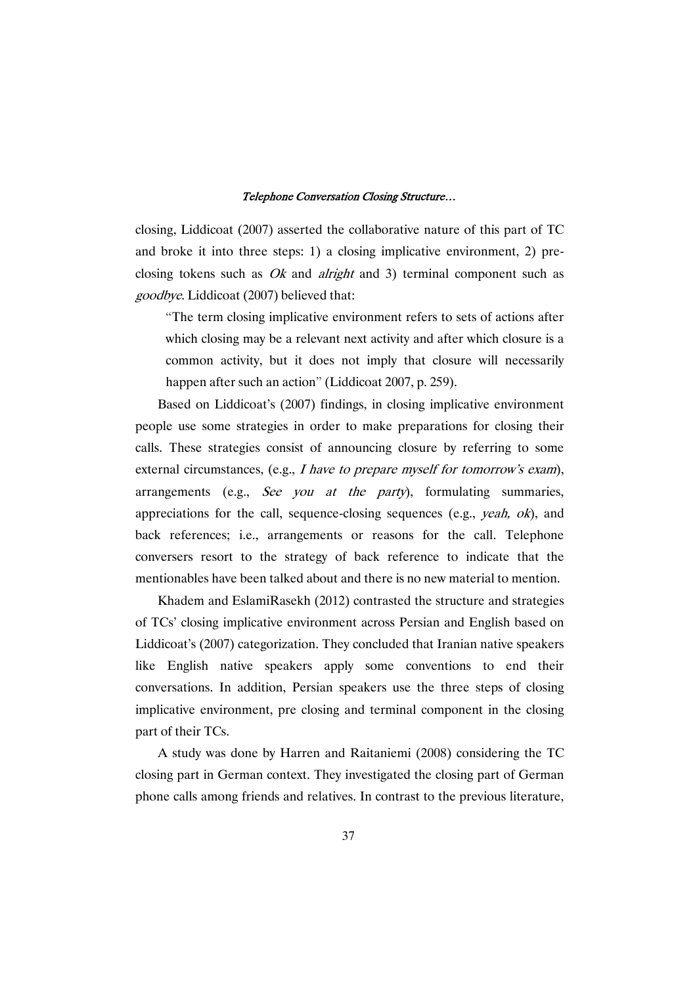closing, Liddicoat  $(2007)$  asserted the collaborative nature of this part of TC and broke it into three steps: 1) a closing implicative environment, 2) preclosing tokens such as *Ok* and *alright* and 3) terminal component such as goodbye. Liddicoat (2007) believed that:

"The term closing implicative environment refers to sets of actions after which closing may be a relevant next activity and after which closure is a common activity, but it does not imply that closure will necessarily happen after such an action" (Liddicoat 2007, p. 259).

Based on Liddicoat's (2007) findings, in closing implicative environment people use some strategies in order to make preparations for closing their calls. These strategies consist of announcing closure by referring to some external circumstances, (e.g., I have to prepare myself for tomorrow's exam), arrangements (e.g., See you at the party), formulating summaries, appreciations for the call, sequence-closing sequences (e.g., yeah, ok), and back references; i.e., arrangements or reasons for the call. Telephone conversers resort to the strategy of back reference to indicate that the mentionables have been talked about and there is no new material to mention.

Khadem and EslamiRasekh (2012) contrasted the structure and strategies of TCs' closing implicative environment across Persian and English based on Liddicoat's (2007) categorization. They concluded that Iranian native speakers like English native speakers apply some conventions to end their conversations. In addition, Persian speakers use the three steps of closing implicative environment, pre closing and terminal component in the closing part of their TCs.

A study was done by Harren and Raitaniemi (2008) considering the TC closing part in German context. They investigated the closing part of German phone calls among friends and relatives. In contrast to the previous literature,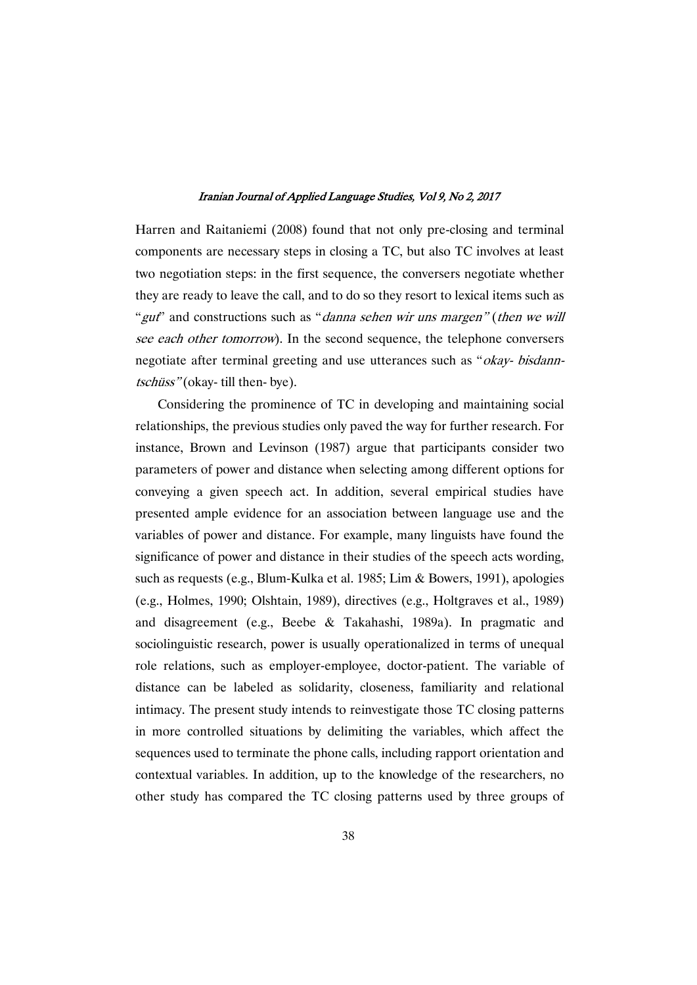Harren and Raitaniemi (2008) found that not only pre-closing and terminal components are necessary steps in closing a TC, but also TC involves at least two negotiation steps: in the first sequence, the conversers negotiate whether they are ready to leave the call, and to do so they resort to lexical items such as "gut" and constructions such as "*danna sehen wir uns margen*" (then we will see each other tomorrow). In the second sequence, the telephone conversers negotiate after terminal greeting and use utterances such as "*okay- bisdann*tschüss"(okay-till then-bye).

Considering the prominence of TC in developing and maintaining social relationships, the previous studies only paved the way for further research. For instance, Brown and Levinson (1987) argue that participants consider two parameters of power and distance when selecting among different options for conveying a given speech act. In addition, several empirical studies have presented ample evidence for an association between language use and the variables of power and distance. For example, many linguists have found the significance of power and distance in their studies of the speech acts wording, such as requests (e.g., Blum-Kulka et al. 1985; Lim & Bowers, 1991), apologies (e.g., Holmes, 1990; Olshtain, 1989), directives (e.g., Holtgraves et al., 1989) and disagreement (e.g., Beebe & Takahashi, 1989a). In pragmatic and sociolinguistic research, power is usually operationalized in terms of unequal role relations, such as employer-employee, doctor-patient. The variable of distance can be labeled as solidarity, closeness, familiarity and relational intimacy. The present study intends to reinvestigate those TC closing patterns in more controlled situations by delimiting the variables, which affect the sequences used to terminate the phone calls, including rapport orientation and contextual variables. In addition, up to the knowledge of the researchers, no other study has compared the TC closing patterns used by three groups of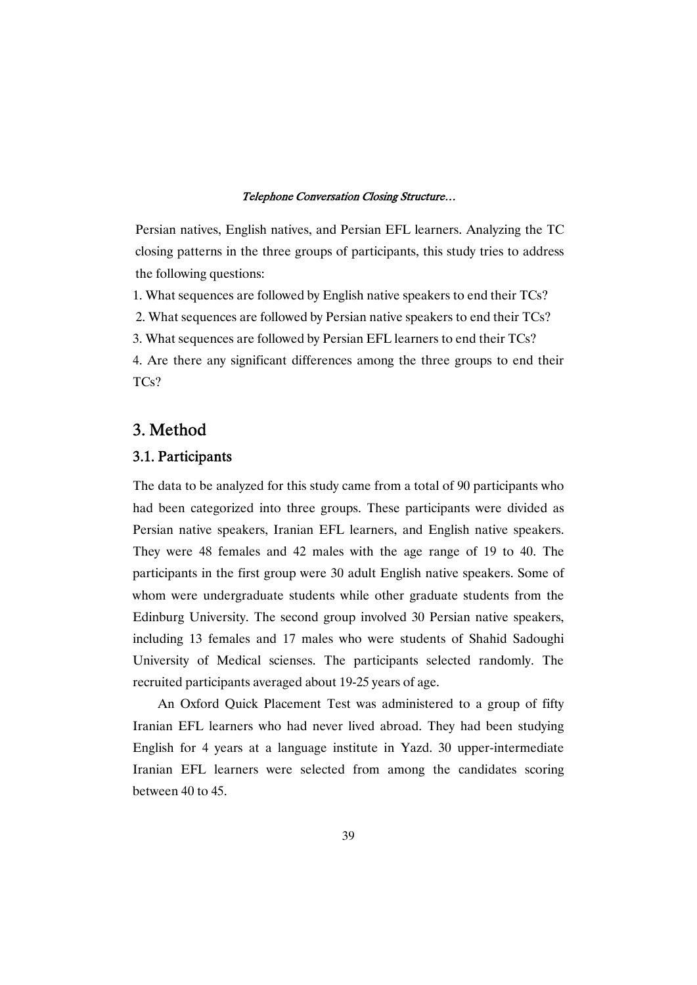Persian natives, English natives, and Persian EFL learners. Analyzing the TC closing patterns in the three groups of participants, this study tries to address the following questions:

1. What sequences are followed by English native speakers to end their TCs?

2. What sequences are followed by Persian native speakers to end their TCs?

3. What sequences are followed by Persian EFL learners to end their TCs?

4. Are there any significant differences among the three groups to end their TCs?

## 3.Method

### 3.1.Participants

The data to be analyzed for this study came from a total of 90 participants who had been categorized into three groups. These participants were divided as Persian native speakers, Iranian EFL learners, and English native speakers. They were 48 females and 42 males with the age range of 19 to 40. The participants in the first group were 30 adult English native speakers. Some of whom were undergraduate students while other graduate students from the Edinburg University. The second group involved 30 Persian native speakers, including 13 females and 17 males who were students of Shahid Sadoughi University of Medical scienses. The participants selected randomly. The recruited participants averaged about 19-25 years of age.

An Oxford Quick Placement Test was administered to a group of fifty Iranian EFL learners who had never lived abroad. They had been studying English for 4 years at a language institute in Yazd. 30 upper-intermediate Iranian EFL learners were selected from among the candidates scoring between  $40$  to  $45$ .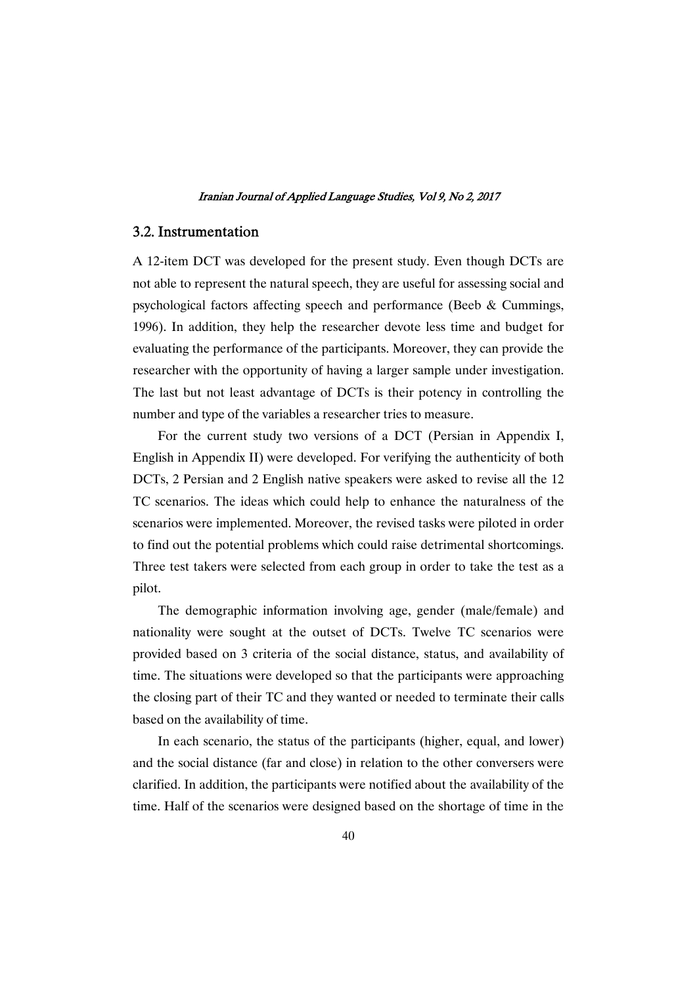### 3.2.Instrumentation

A 12-item DCT was developed for the present study. Even though DCTs are not able to represent the natural speech, they are useful for assessing social and psychological factors affecting speech and performance (Beeb & Cummings, 1996). In addition, they help the researcher devote less time and budget for evaluating the performance of the participants. Moreover, they can provide the researcher with the opportunity of having a larger sample under investigation. The last but not least advantage of DCTs is their potency in controlling the number and type of the variables a researcher tries to measure.

For the current study two versions of a DCT (Persian in Appendix I, English in Appendix II) were developed. For verifying the authenticity of both DCTs, 2 Persian and 2 English native speakers were asked to revise all the 12 TC scenarios. The ideas which could help to enhance the naturalness of the scenarios were implemented. Moreover, the revised tasks were piloted in order to find out the potential problems which could raise detrimental shortcomings. Three test takers were selected from each group in order to take the test as a pilot.

The demographic information involving age, gender (male/female) and nationality were sought at the outset of DCTs. Twelve TC scenarios were provided based on 3 criteria of the social distance, status, and availability of time. The situations were developed so that the participants were approaching the closing part of their TC and they wanted or needed to terminate their calls based on the availability of time.

In each scenario, the status of the participants (higher, equal, and lower) and the social distance (far and close) in relation to the other conversers were clarified. In addition, the participants were notified about the availability of the time. Half of the scenarios were designed based on the shortage of time in the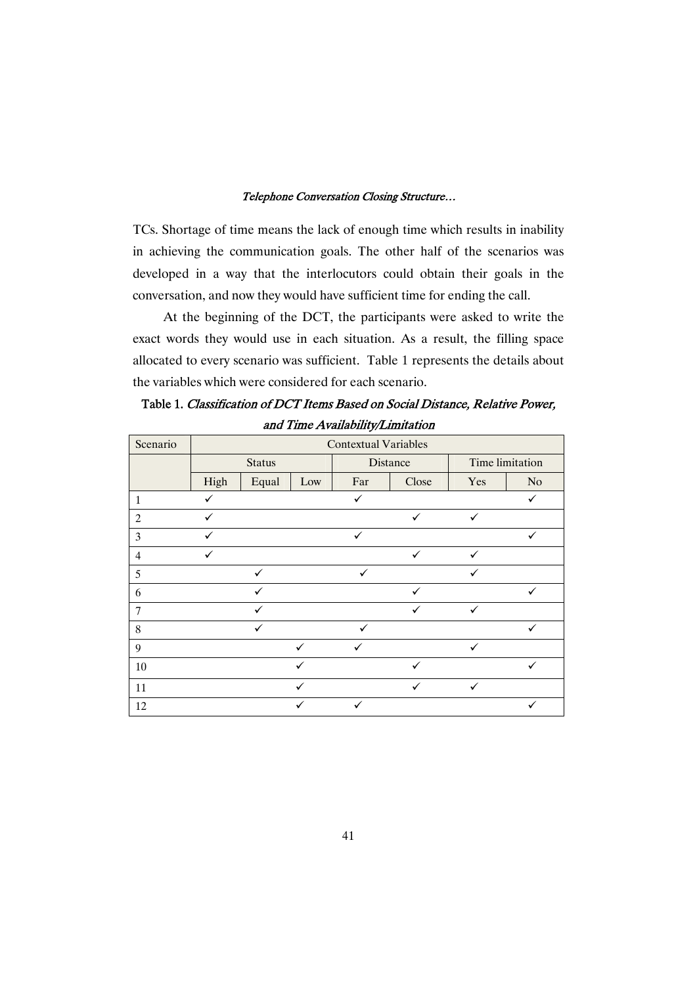TCs. Shortage of time means the lack of enough time which results in inability in achieving the communication goals. The other half of the scenarios was developed in a way that the interlocutors could obtain their goals in the conversation, and now they would have sufficient time for ending the call.

At the beginning of the DCT, the participants were asked to write the exact words they would use in each situation. As a result, the filling space allocated to every scenario was sufficient. Table 1 represents the details about the variables which were considered for each scenario.

Table 1. Classification of DCT Items Based on Social Distance, Relative Power, and Time Availability/Limitation

| Scenario       | <b>Contextual Variables</b> |              |              |              |              |                 |    |  |
|----------------|-----------------------------|--------------|--------------|--------------|--------------|-----------------|----|--|
|                | <b>Status</b>               |              |              |              | Distance     | Time limitation |    |  |
|                | High                        | Equal        | Low          | Far          | Close        | Yes             | No |  |
| $\mathbf{1}$   |                             |              |              | ✓            |              |                 | ✓  |  |
| $\overline{c}$ | ✓                           |              |              |              | ✓            | ✓               |    |  |
| 3              | ✓                           |              |              | ✓            |              |                 | ✓  |  |
| $\overline{4}$ | ✓                           |              |              |              | ✓            | ✓               |    |  |
| 5              |                             | $\checkmark$ |              | $\checkmark$ |              | ✓               |    |  |
| 6              |                             | ✓            |              |              |              |                 |    |  |
| $\overline{7}$ |                             | ✓            |              |              | $\checkmark$ | $\checkmark$    |    |  |
| 8              |                             | ✓            |              |              |              |                 |    |  |
| 9              |                             |              | $\checkmark$ | $\checkmark$ |              | $\checkmark$    |    |  |
| 10             |                             |              | ✓            |              | ✓            |                 | ✓  |  |
| 11             |                             |              | ✓            |              | ✓            | ✓               |    |  |
| 12             |                             |              | ✓            | ✓            |              |                 | ✓  |  |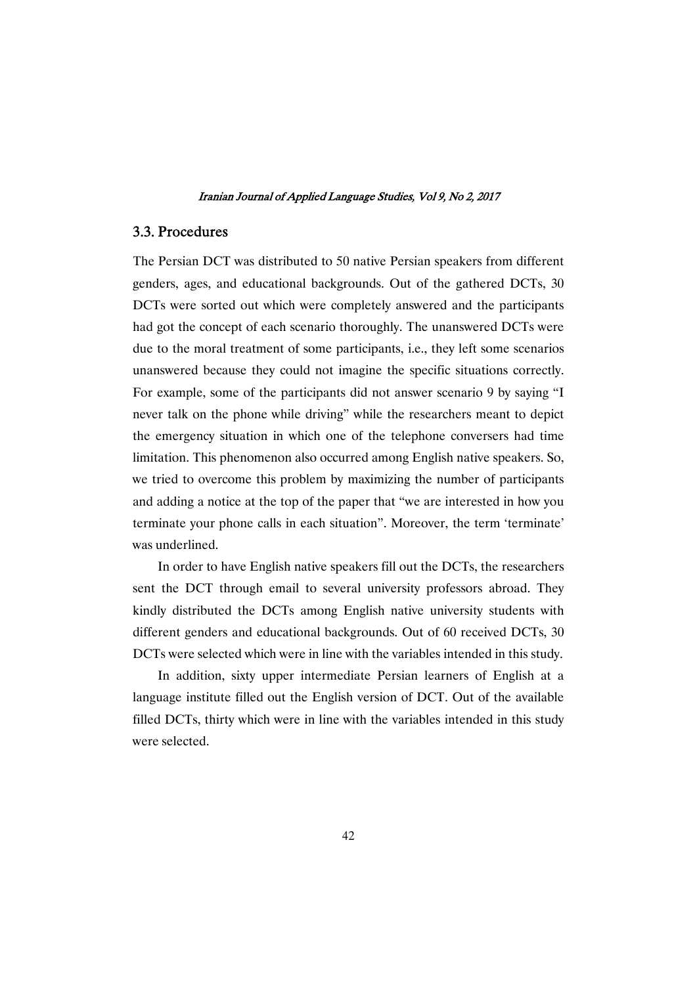### 3.3.Procedures

The Persian DCT was distributed to 50 native Persian speakers from different genders, ages, and educational backgrounds. Out of the gathered DCTs, 30 DCTs were sorted out which were completely answered and the participants had got the concept of each scenario thoroughly. The unanswered DCTs were due to the moral treatment of some participants, i.e., they left some scenarios unanswered because they could not imagine the specific situations correctly. For example, some of the participants did not answer scenario 9 by saying "I never talk on the phone while driving" while the researchers meant to depict the emergency situation in which one of the telephone conversers had time limitation. This phenomenon also occurred among English native speakers. So, we tried to overcome this problem by maximizing the number of participants and adding a notice at the top of the paper that "we are interested in how you terminate your phone calls in each situation". Moreover, the term 'terminate' was underlined.

In order to have English native speakers fill out the DCTs, the researchers sent the DCT through email to several university professors abroad. They kindly distributed the DCTs among English native university students with different genders and educational backgrounds. Out of 60 received DCTs, 30 DCTs were selected which were in line with the variables intended in this study.

In addition, sixty upper intermediate Persian learners of English at a language institute filled out the English version of DCT. Out of the available filled DCTs, thirty which were in line with the variables intended in this study were selected.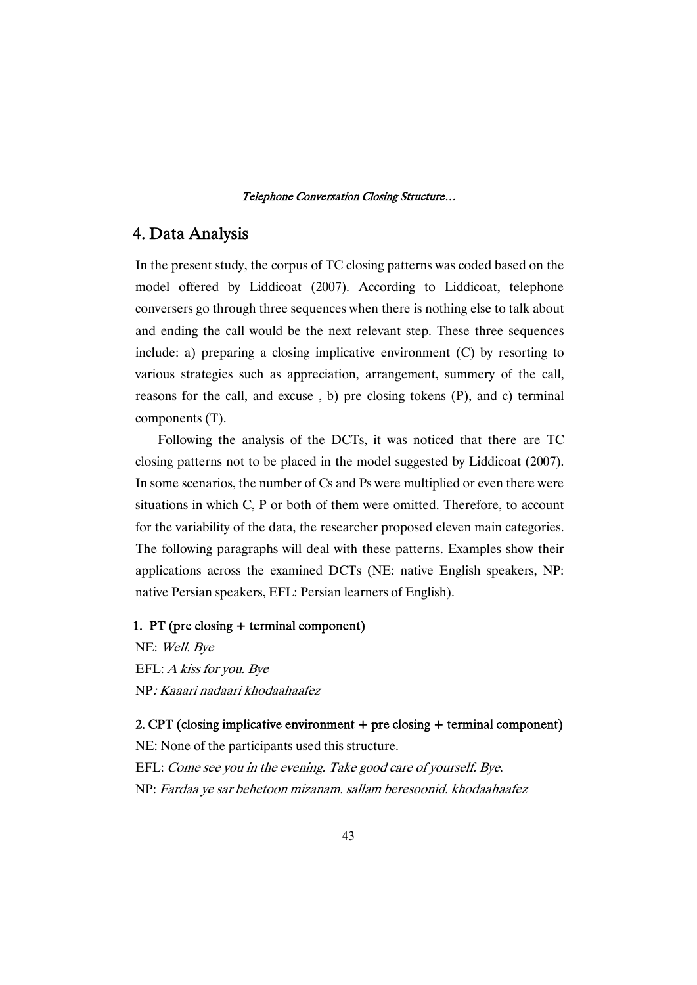### 4.DataAnalysis

In the present study, the corpus of TC closing patterns was coded based on the model offered by Liddicoat (2007). According to Liddicoat, telephone conversers go through three sequences when there is nothing else to talk about and ending the call would be the next relevant step. These three sequences include: a) preparing a closing implicative environment (C) by resorting to various strategies such as appreciation, arrangement, summery of the call, reasons for the call, and excuse , b) pre closing tokens (P), and c) terminal components(T).

Following the analysis of the DCTs, it was noticed that there are TC closing patterns not to be placed in the model suggested by Liddicoat (2007). In some scenarios, the number of Cs and Ps were multiplied or even there were situations in which C, P or both of them were omitted. Therefore, to account for the variability of the data, the researcher proposed eleven main categories. The following paragraphswill dealwith these patterns.Examples show their applications across the examined DCTs (NE: native English speakers, NP: native Persian speakers, EFL: Persian learners of English).

### 1. PT (pre closing  $+$  terminal component)

NE: Well. Bye EFL: A kiss for you. Bye NP: Kaaari nadaari khodaahaafez

2. CPT (closing implicative environment  $+$  preclosing  $+$  terminal component)

NE: None of the participants used this structure. EFL: Come see you in the evening. Take good care of yourself. Bye.

NP: Fardaa ye sar behetoon mizanam. sallam beresoonid. khodaahaafez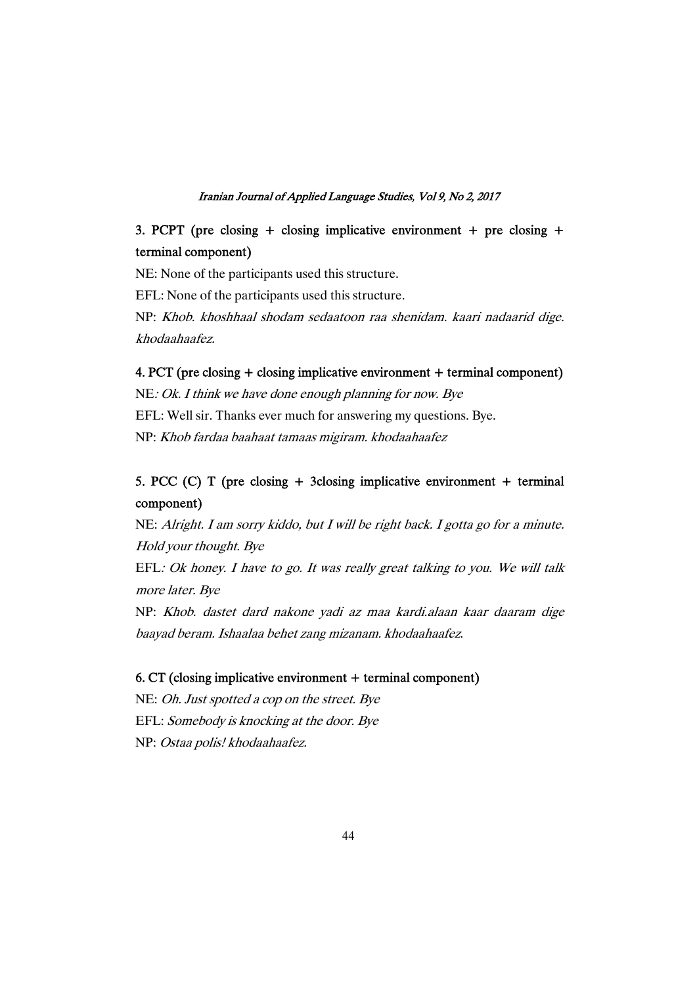## 3. PCPT (pre closing + closing implicative environment + pre closing + terminal component)

NE: None of the participants used this structure. EFL: None of the participants used this structure. NP: Khob. khoshhaal shodam sedaatoon raa shenidam. kaari nadaarid dige. khodaahaafez.

### 4. PCT (pre closing + closing implicative environment + terminal component)

 $NE:Ok.$  I think we have done enough planning for now. Bye EFL: Well sir. Thanks ever much for answering my questions. Bye. NP: Khob fardaa baahaat tamaas migiram. khodaahaafez

## 5. PCC (C) T (pre closing + 3closing implicative environment + terminal component)

NE: Alright. I am sorry kiddo, but I will be right back. I gotta go for a minute. Hold your thought. Bye EFL: Ok honey. I have to go. It was really great talking to you. We will talk more later. Bye NP: Khob. dastet dard nakone yadi az maa kardi.alaan kaar daaram dige

### 6. CT (closing implicative environment + terminal component)

baayad beram. Ishaalaa behet zang mizanam. khodaahaafez.

NE: Oh. Just spotted a cop on the street. Bye EFL: Somebody is knocking at the door. Bye NP: Ostaa polis! khodaahaafez.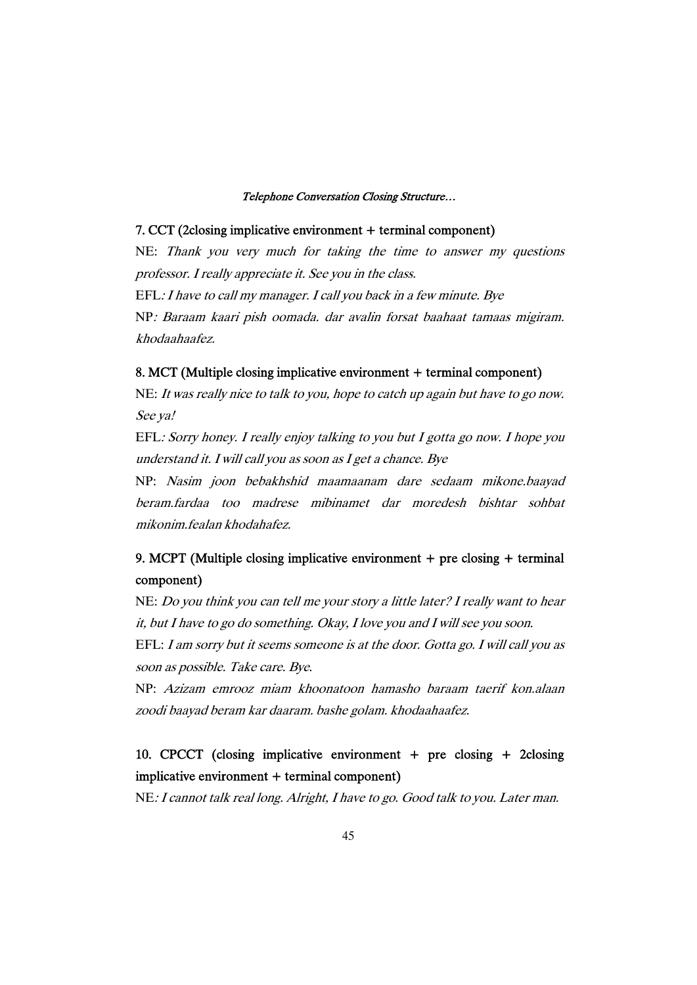#### 7. CCT (2closing implicative environment + terminal component)

NE: Thank you very much for taking the time to answer my questions professor. I really appreciate it. See you in the class. EFL: I have to call my manager. I call you back in a few minute. Bye NP: Baraam kaari pish oomada. dar avalin forsat baahaat tamaas migiram. khodaahaafez.

#### 8. MCT (Multiple closing implicative environment + terminal component)

NE: It was really nice to talk to you, hope to catch up again but have to go now. See ya!

EFL: Sorry honey. I really enjoy talking to you but I gotta go now. I hope you understand it. I will call you as soon as I get a chance. Bye

NP: Nasim joon bebakhshid maamaanam dare sedaam mikone.baayad beram.fardaa too madrese mibinamet dar moredesh bishtar sohbat mikonim.fealan khodahafez.

## 9. MCPT (Multiple closing implicative environment + pre closing + terminal component)

NE: Do you think you can tell me your story a little later? I really want to hear it, but I have to go do something. Okay, I love you and I will see you soon. EFL: I am sorry but it seems someone is at the door. Gotta go. I will call you as soon as possible. Take care. Bye.

NP: Azizam emrooz miam khoonatoon hamasho baraam taerif kon.alaan zoodi baayad beram kar daaram. bashe golam. khodaahaafez.

## 10. CPCCT (closing implicative environment + pre closing + 2closing  $implicative environment + terminal component)$

NE: I cannot talk real long. Alright, I have to go. Good talk to you. Later man.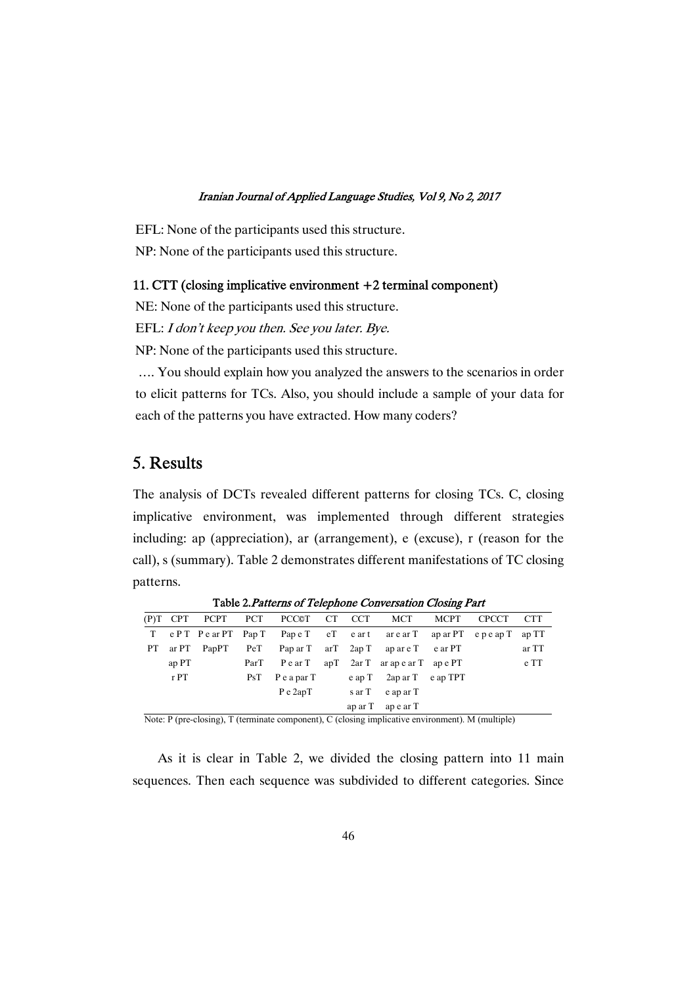EFL: None of the participants used this structure. NP: None of the participants used this structure.

#### 11. CTT (closing implicative environment  $+2$  terminal component)

NE: None of the participants used this structure.

EFL: I don't keep you then. See you later. Bye.

NP: None of the participants used this structure.

.... You should explain how you analyzed the answers to the scenarios in order to elicit patterns for TCs. Also, you should include a sample of your data for each of the patterns you have extracted. How many coders?

## 5.Results

The analysis of DCTs revealed different patterns for closing TCs. C, closing implicative environment, was implemented through different strategies including: ap (appreciation), ar (arrangement), e (excuse), r (reason for the call), s (summary). Table 2 demonstrates different manifestations of TC closing patterns.

|                           |       |                                                                                                                                                                                                                                                                                                  |     | (P)T CPT PCPT PCT PCC©T CT CCT MCT                        |  |                              | <b>MCPT</b> | <b>CPCCT</b>                                          | <b>CTT</b> |
|---------------------------|-------|--------------------------------------------------------------------------------------------------------------------------------------------------------------------------------------------------------------------------------------------------------------------------------------------------|-----|-----------------------------------------------------------|--|------------------------------|-------------|-------------------------------------------------------|------------|
|                           |       |                                                                                                                                                                                                                                                                                                  |     | T ePT PearPT PapT PapeT eT eart arearT aparPT epeapT apTT |  |                              |             |                                                       |            |
| PT –                      |       | ar $PT$ PapPT                                                                                                                                                                                                                                                                                    |     | PeT PaparT arT 2apT apareT earPT                          |  |                              |             |                                                       | ar TT      |
|                           | ap PT |                                                                                                                                                                                                                                                                                                  |     | ParT PearT apT 2arT arapearT apePT                        |  |                              |             |                                                       | e TT       |
|                           | r PT  |                                                                                                                                                                                                                                                                                                  | PsT | PeaparT                                                   |  | $e$ ap T 2ap ar T $e$ ap TPT |             |                                                       |            |
|                           |       |                                                                                                                                                                                                                                                                                                  |     | P e 2apT                                                  |  | sar T e apar T               |             |                                                       |            |
|                           |       |                                                                                                                                                                                                                                                                                                  |     |                                                           |  | $aparT$ apear T              |             |                                                       |            |
| $\mathbf{v}$ $\mathbf{v}$ |       | $\mathbf{1}$ and $\mathbf{1}$ and $\mathbf{1}$ and $\mathbf{1}$ and $\mathbf{1}$ and $\mathbf{1}$ and $\mathbf{1}$ and $\mathbf{1}$ and $\mathbf{1}$ and $\mathbf{1}$ and $\mathbf{1}$ and $\mathbf{1}$ and $\mathbf{1}$ and $\mathbf{1}$ and $\mathbf{1}$ and $\mathbf{1}$ and $\mathbf{1}$ and |     |                                                           |  |                              |             | $\Delta$ $\bf{1}$ $\bf{1}$ $\bf{1}$ $\bf{1}$ $\bf{1}$ |            |

Table 2. Patterns of Telephone Conversation Closing Part

Note: P (pre-closing), T (terminate component), C (closing implicative environment). M (multiple)

As it is clear in Table 2, we divided the closing pattern into 11 main sequences. Then each sequence was subdivided to different categories. Since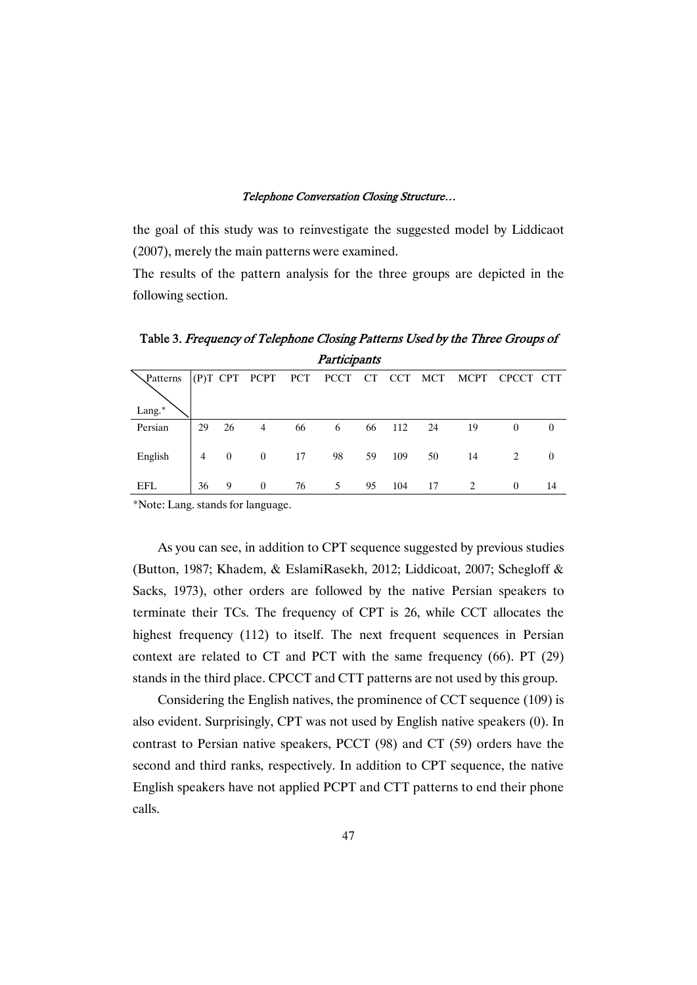the goal of this study was to reinvestigate the suggested model by Liddicaot  $(2007)$ , merely the main patterns were examined.

The results of the pattern analysis for the three groups are depicted in the following section.

| Participants |    |                |                |    |                                   |    |        |    |      |           |          |
|--------------|----|----------------|----------------|----|-----------------------------------|----|--------|----|------|-----------|----------|
| Patterns     |    |                |                |    | (P)T CPT PCPT PCT PCCT CT CCT MCT |    |        |    | MCPT | CPCCT CTT |          |
| Lang.*       |    |                |                |    |                                   |    |        |    |      |           |          |
| Persian      | 29 | 26             | 4              | 66 | 6                                 | 66 | 112 24 |    | -19  | $\theta$  | $\theta$ |
| English      | 4  | $\overline{0}$ | $\overline{0}$ | 17 | 98                                | 59 | 109    | 50 | 14   |           | $\theta$ |

EFL 36 9 0 76 5 95 104 17 2 0 14

Table 3. Frequency of Telephone Closing Patterns Used by the Three Groups of Participants

\*Note:Lang.standsforlanguage.

As you can see, in addition to CPT sequence suggested by previous studies (Button, 1987; Khadem, & EslamiRasekh, 2012; Liddicoat, 2007; Schegloff & Sacks, 1973), other orders are followed by the native Persian speakers to terminate their TCs. The frequency of CPT is 26, while CCT allocates the highest frequency (112) to itself. The next frequent sequences in Persian context are related to CT and PCT with the same frequency (66). PT (29) stands in the third place. CPCCT and CTT patterns are not used by this group.

Considering the English natives, the prominence of CCT sequence  $(109)$  is also evident. Surprisingly, CPT was not used by English native speakers (0). In contrast to Persian native speakers, PCCT  $(98)$  and CT  $(59)$  orders have the second and third ranks, respectively. In addition to CPT sequence, the native English speakers have not applied PCPT and CTT patterns to end their phone calls.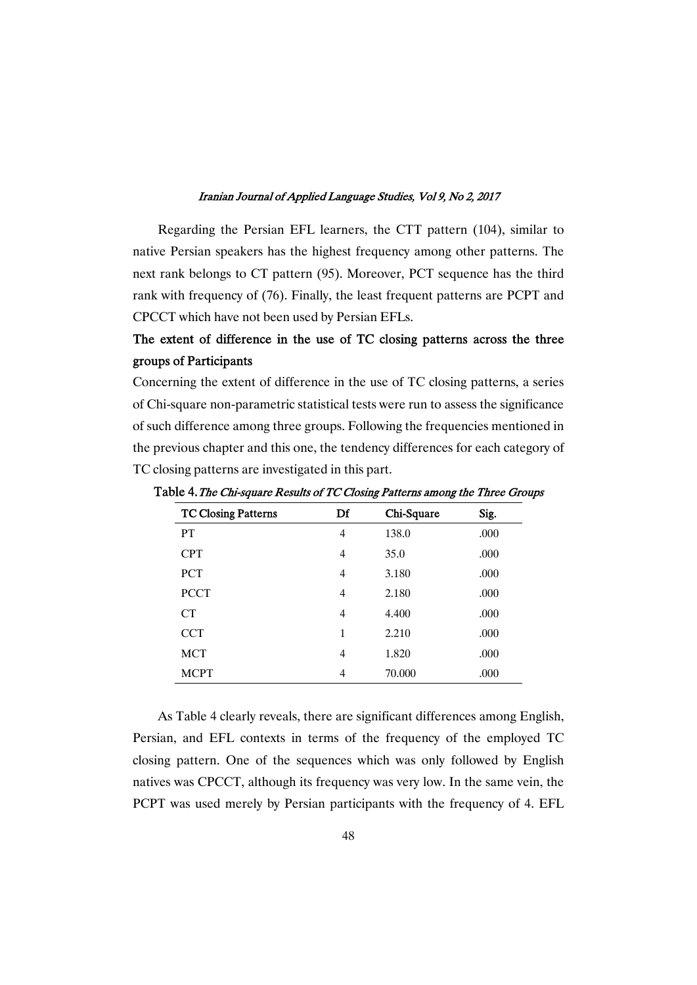Regarding the Persian EFL learners, the CTT pattern (104), similar to native Persian speakers has the highest frequencyamong other patterns.The next rank belongs to CT pattern (95). Moreover, PCT sequence has the third rank with frequency of (76). Finally, the least frequent patterns are PCPT and CPCCT which have not been used by Persian EFLs.

## The extent of difference in the use of TC closing patterns across the three groups of Participants

Concerning the extent of difference in the use of TC closing patterns, a series of Chi-square non-parametric statistical tests were run to assess the significance of such difference among three groups. Following the frequencies mentioned in the previous chapter and this one, the tendency differences for each category of TC closing patterns are investigated in this part.

| <b>TC Closing Patterns</b> | Df             | Chi-Square | Sig. |
|----------------------------|----------------|------------|------|
| PT                         | $\overline{4}$ | 138.0      | .000 |
| <b>CPT</b>                 | $\overline{4}$ | 35.0       | .000 |
| <b>PCT</b>                 | $\overline{4}$ | 3.180      | .000 |
| <b>PCCT</b>                | $\overline{4}$ | 2.180      | .000 |
| CT                         | $\overline{4}$ | 4.400      | .000 |
| <b>CCT</b>                 | 1              | 2.210      | .000 |
| <b>MCT</b>                 | $\overline{4}$ | 1.820      | .000 |
| <b>MCPT</b>                | 4              | 70.000     | .000 |

Table 4. The Chi-square Results of TC Closing Patterns among the Three Groups

As Table 4 clearly reveals, there are significant differences among English, Persian, and EFL contexts in terms of the frequency of the employed TC closing pattern. One of the sequences which was only followed by English natives was CPCCT, although its frequency was very low. In the same vein, the PCPT was used merely by Persian participants with the frequency of 4.EFL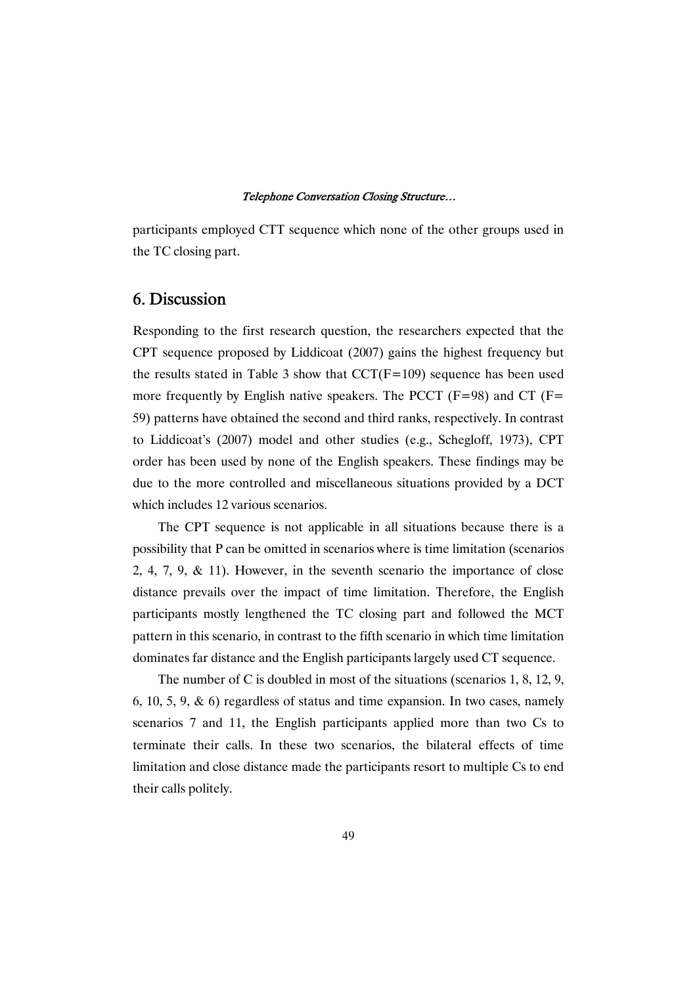participants employed CTT sequence which none of the other groups used in the TC closing part.

### 6.Discussion

Responding to the first research question, the researchers expected that the CPT sequence proposed by Liddicoat (2007) gains the highest frequency but the results stated in Table 3 show that  $CCT(F=109)$  sequence has been used more frequently by English native speakers. The PCCT ( $F=98$ ) and CT ( $F=$ 59) patterns have obtained the second and third ranks, respectively. In contrast to Liddicoat's (2007) model and other studies (e.g., Schegloff, 1973), CPT order has been used by none of the English speakers. These findings may be due to the more controlled and miscellaneous situations provided by a DCT which includes 12 various scenarios.

The CPT sequence is not applicable in all situations because there is a possibility that P can be omitted in scenarios where is time limitation (scenarios 2, 4, 7, 9, & 11). However, in the seventh scenario the importance of close distance prevails over the impact of time limitation. Therefore, the English participants mostly lengthened the TC closing part and followed the MCT pattern in this scenario, in contrast to the fifth scenario in which time limitation dominates far distance and the English participants largely used CT sequence.

The number of C is doubled in most of the situations (scenarios  $1, 8, 12, 9$ , 6, 10, 5, 9,  $\&$  6) regardless of status and time expansion. In two cases, namely scenarios 7 and 11, the English participants applied more than two Cs to terminate their calls. In these two scenarios, the bilateral effects of time limitation and close distance made the participants resort to multiple Cs to end their calls politely.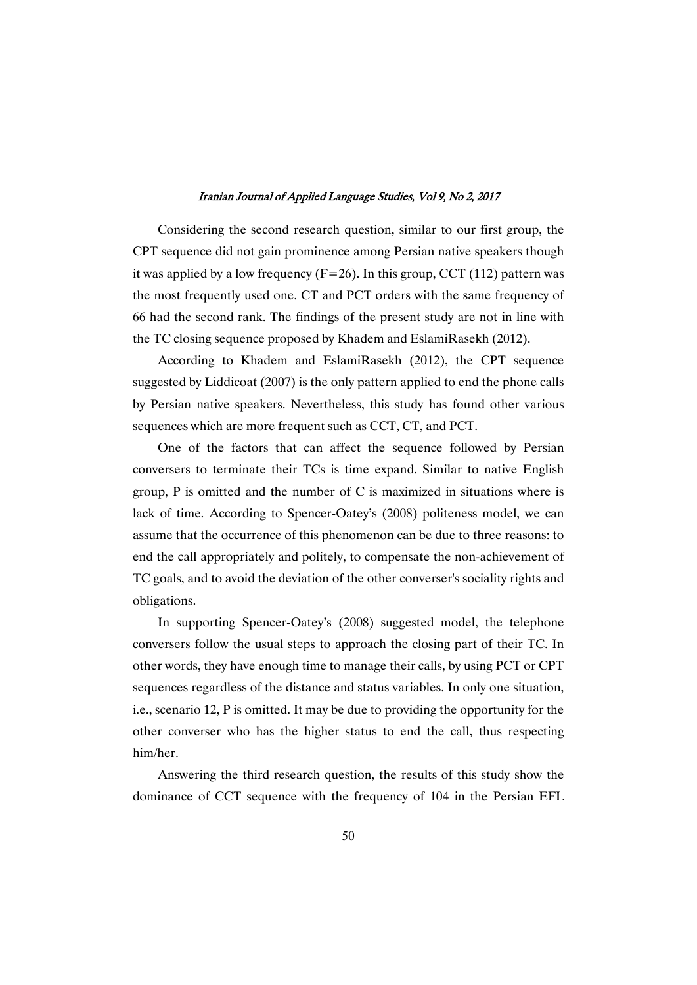Considering the second research question, similar to our first group, the CPT sequence did not gain prominence among Persian native speakers though it was applied by a low frequency ( $F=26$ ). In this group, CCT (112) pattern was the most frequently used one. CT and PCT orders with the same frequency of 66 had the second rank. The findings of the present study are not in line with the TC closing sequence proposed by Khadem and EslamiRasekh (2012).

According to Khadem and EslamiRasekh (2012), the CPT sequence suggested by Liddicoat  $(2007)$  is the only pattern applied to end the phone calls by Persian native speakers. Nevertheless, this study has found other various sequences which are more frequent such as CCT, CT, and PCT.

One of the factors that can affect the sequence followed by Persian conversers to terminate their TCs is time expand. Similar to native English group,  $P$  is omitted and the number of  $C$  is maximized in situations where is lack of time. According to Spencer-Oatey's (2008) politeness model, we can assume that the occurrence of this phenomenon can be due to three reasons: to end the call appropriately and politely, to compensate the non-achievement of TC goals, and to avoid the deviation of the other converser's sociality rights and obligations.

In supporting Spencer-Oatey's (2008) suggested model, the telephone conversers follow the usual steps to approach the closing part of their TC. In other words, they have enough time to manage their calls, by using PCT or CPT sequences regardless of the distance and status variables. In only one situation, i.e., scenario 12, P is omitted. It may be due to providing the opportunity for the other converser who has the higher status to end the call, thus respecting him/her.

 Answering the third research question, the results of this study show the dominance of CCT sequence with the frequency of 104 in the Persian EFL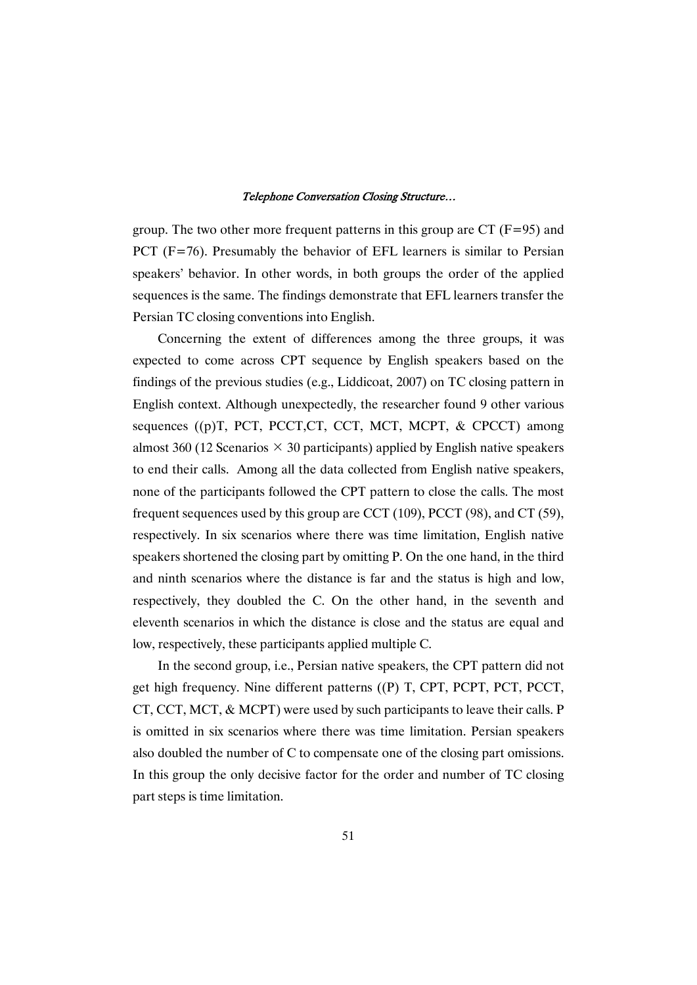group. The two other more frequent patterns in this group are CT ( $F=95$ ) and PCT (F=76). Presumably the behavior of EFL learners is similar to Persian speakers' behavior. In other words, in both groups the order of the applied sequences is the same. The findings demonstrate that EFL learners transfer the Persian TC closing conventions into English.

 Concerning the extent of differences among the three groups, it was expected to come across CPT sequence by English speakers based on the findings of the previous studies (e.g., Liddicoat,  $2007$ ) on TC closing pattern in English context. Although unexpectedly, the researcher found 9 other various sequences ((p)T, PCT, PCCT, CT, CCT, MCT, MCPT, & CPCCT) among almost 360 (12 Scenarios  $\times$  30 participants) applied by English native speakers to end their calls. Among all the data collected from English native speakers, none of the participants followed the CPT pattern to close the calls. The most frequent sequences used by this group are CCT (109), PCCT (98), and CT (59), respectively. In six scenarios where there was time limitation, English native speakers shortened the closing part by omitting P. On the one hand, in the third and ninth scenarios where the distance is far and the status is high and low, respectively, they doubled the C. On the other hand, in the seventh and eleventh scenarios in which the distance is close and the status are equal and low, respectively, these participants applied multiple C.

In the second group, i.e., Persian native speakers, the CPT pattern did not get high frequency. Nine different patterns ((P) T, CPT, PCPT, PCT, PCCT, CT, CCT, MCT, & MCPT) were used by such participants to leave their calls. P is omitted in six scenarios where there was time limitation. Persian speakers also doubled the number of C to compensate one of the closing part omissions. In this group the only decisive factor for the order and number of TC closing part steps is time limitation.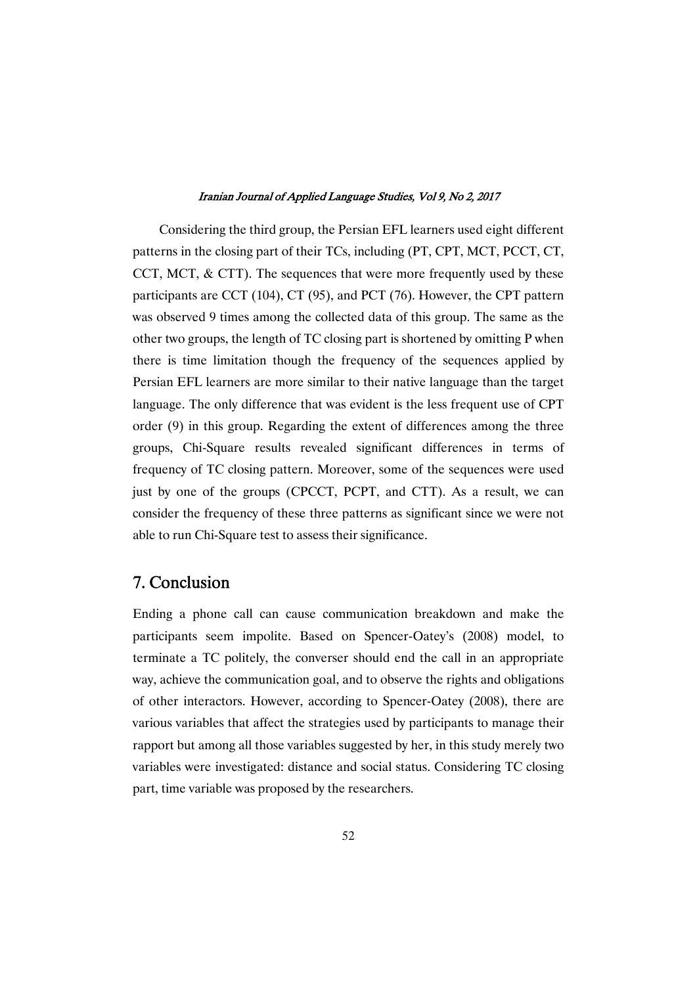Considering the third group, the Persian EFL learners used eight different patterns in the closing part of their TCs, including (PT, CPT, MCT, PCCT, CT, CCT, MCT,  $&$  CTT). The sequences that were more frequently used by these participants are CCT (104), CT (95), and PCT (76). However, the CPT pattern was observed 9 times among the collected data of this group. The same as the other two groups, the length of TC closing part is shortened by omitting P when there is time limitation though the frequency of the sequences applied by Persian EFL learners are more similar to their native language than the target language. The only difference that was evident is the less frequent use of CPT order  $(9)$  in this group. Regarding the extent of differences among the three groups, Chi-Square results revealed significant differences in terms of frequency of TC closing pattern. Moreover, some of the sequences were used just by one of the groups (CPCCT, PCPT, and CTT). As a result, we can consider the frequency of these three patterns as significant since we were not able to run Chi-Square test to assess their significance.

## 7. Conclusion

Ending a phone call can cause communication breakdown and make the participants seem impolite. Based on Spencer-Oatey's (2008) model, to terminate a TC politely, the converser should end the call in an appropriate way, achieve the communication goal, and to observe the rights and obligations of other interactors. However, according to Spencer-Oatey (2008), there are various variables that affect the strategies used by participants to manage their rapport but among all those variables suggested by her, in this study merely two variables were investigated: distance and social status. Considering TC closing part, time variable was proposed by the researchers.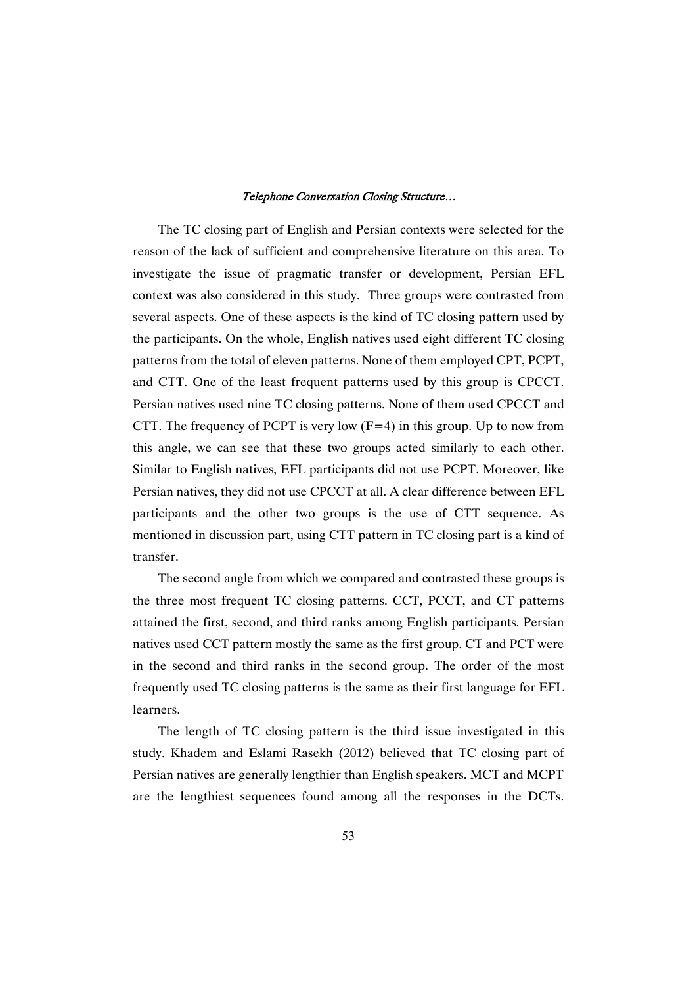The TC closing part of English and Persian contexts were selected for the reason of the lack of sufficient and comprehensive literature on this area. To investigate the issue of pragmatic transfer or development, Persian EFL context was also considered in this study. Three groups were contrasted from several aspects. One of these aspects is the kind of TC closing patternused by the participants. On the whole, English natives used eight different TC closing patterns from the total of eleven patterns. None of them employed CPT, PCPT, and CTT. One of the least frequent patterns used by this group is CPCCT. Persian natives used nine TC closing patterns. None of them used CPCCT and CTT. The frequency of PCPT is very low  $(F=4)$  in this group. Up to now from this angle, we can see that these two groups acted similarly to each other. Similar to English natives, EFL participants did not use PCPT. Moreover, like Persian natives, they did not use CPCCT at all. A clear difference between EFL participants and the other two groups is the use of CTT sequence. As mentioned in discussion part, using CTT pattern in TC closing part is a kind of transfer.

The second angle from which we compared and contrasted these groups is the three most frequent TC closing patterns. CCT, PCCT, and CT patterns attained the first, second, and third ranks among English participants. Persian natives used CCT pattern mostly the same as the first group. CT and PCT were in the second and third ranks in the second group. The order of the most frequently used TC closing patterns is the same as their first language for EFL learners.

The length of TC closing pattern is the third issue investigated in this study. Khadem and Eslami Rasekh (2012) believed that TC closing part of Persian natives are generally lengthier than English speakers. MCT and MCPT are the lengthiest sequences found among all the responses in the DCTs.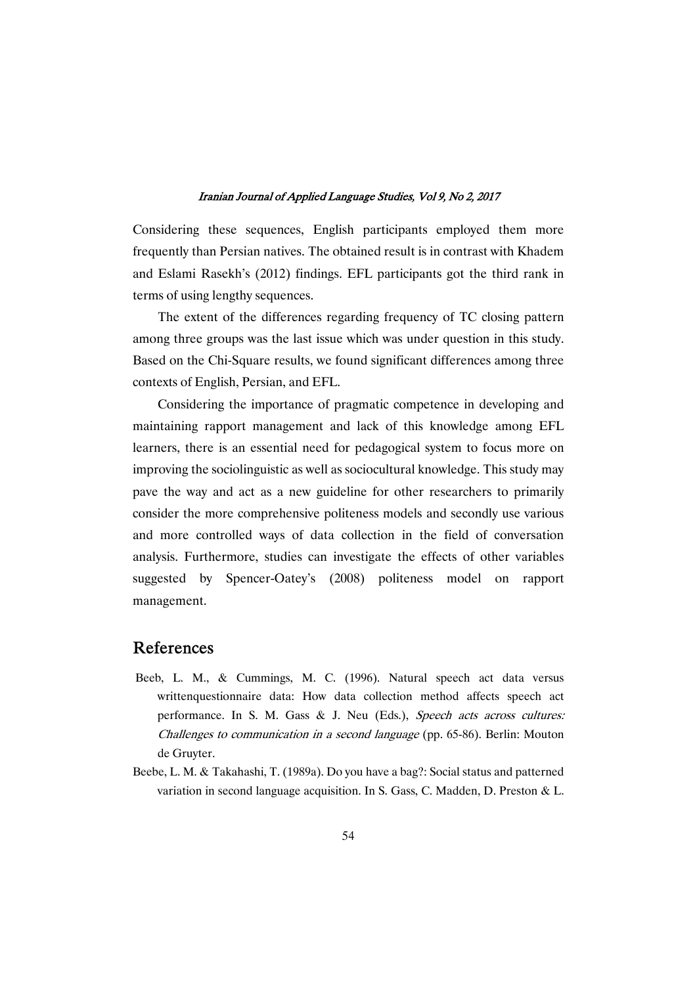Considering these sequences, English participants employed them more frequently than Persian natives. The obtained result is in contrast with Khadem and Eslami Rasekh's (2012) findings. EFL participants got the third rank in terms of using lengthy sequences.

The extent of the differences regarding frequency of TC closing pattern among three groups was the last issue which was under question in this study. Based on the Chi-Square results, we found significant differences among three contexts of English, Persian, and EFL.

Considering the importance of pragmatic competence in developing and maintaining rapport management and lack of this knowledge among EFL learners, there is an essential need for pedagogical system to focus more on improving the sociolinguistic as well as sociocultural knowledge. This study may pave the way and act as a new guideline for other researchers to primarily consider the more comprehensive politeness models and secondly use various and more controlled ways of data collection in the field of conversation analysis. Furthermore, studies can investigate the effects of other variables suggested by Spencer-Oatey's (2008) politeness model on rapport management.

### References

- Beeb, L. M., & Cummings, M. C. (1996). Natural speech act data versus writtenquestionnaire data: How data collection method affects speech act performance. In S. M. Gass & J. Neu (Eds.), Speech acts across cultures: Challenges to communication in a second language (pp. 65-86). Berlin: Mouton de Gruvter.
- Beebe, L. M. & Takahashi, T. (1989a). Do you have a bag?: Social status and patterned variation in second language acquisition. In S. Gass, C. Madden, D. Preston & L.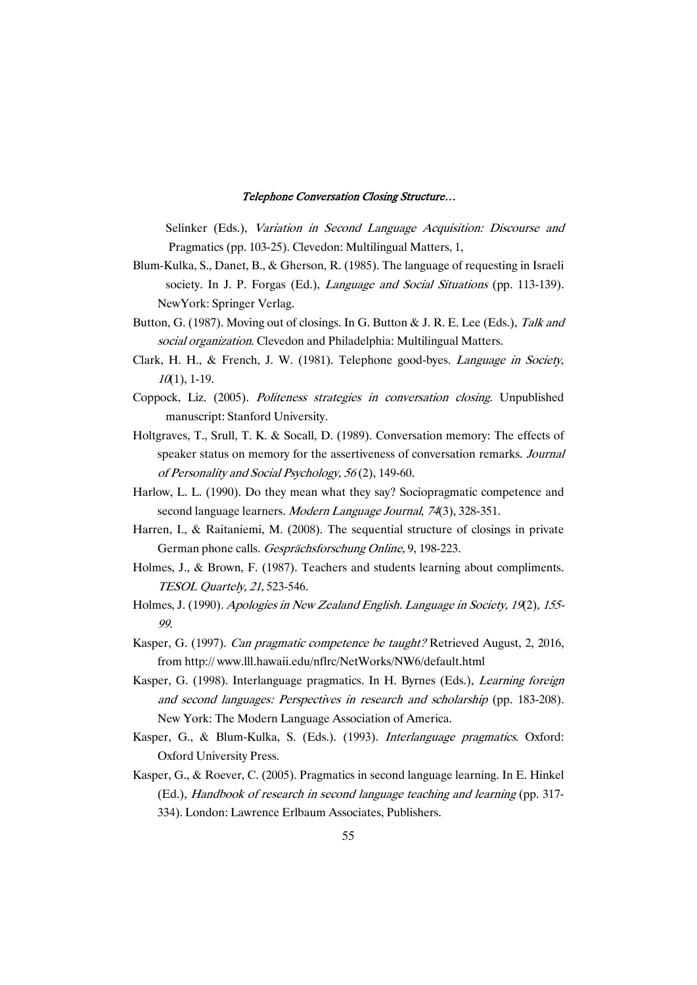Selinker (Eds.), Variation in Second Language Acquisition: Discourse and Pragmatics (pp. 103-25). Clevedon: Multilingual Matters, 1,

- Blum-Kulka, S., Danet, B., & Gherson, R. (1985). The language of requesting in Israeli society. In J. P. Forgas (Ed.), *Language and Social Situations* (pp. 113-139). NewYork: Springer Verlag.
- Button, G. (1987). Moving out of closings. In G. Button & J. R. E. Lee (Eds.), Talk and social organization. Clevedon and Philadelphia: Multilingual Matters.
- Clark, H. H., & French, J. W. (1981). Telephone good-byes. Language in Society,  $10(1)$ , 1-19.
- Coppock, Liz. (2005). Politeness strategies in conversation closing. Unpublished manuscript: Stanford University.
- Holtgraves, T., Srull, T. K. & Socall, D. (1989). Conversation memory: The effects of speaker status on memory for the assertiveness of conversation remarks. Journal of Personality and Social Psychology, 56(2), 149-60.
- Harlow, L. L. (1990). Do they mean what they say? Sociopragmatic competence and second language learners. Modern Language Journal, 74(3), 328-351.
- Harren, I., & Raitaniemi, M. (2008). The sequential structure of closings in private German phone calls. Gesprächsforschung Online, 9, 198-223.
- Holmes, J., & Brown, F. (1987). Teachers and students learning about compliments. TESOL Quartely, 21, 523-546.
- Holmes, J. (1990). Apologies in New Zealand English. Language in Society, 19(2), 155-99.
- Kasper, G. (1997). Can pragmatic competence be taught? Retrieved August, 2, 2016, fromhttp://www.lll.hawaii.edu/nflrc/NetWorks/NW6/default.html
- Kasper, G. (1998). Interlanguage pragmatics. In H. Byrnes (Eds.), Learning foreign and second languages: Perspectives in research and scholarship (pp. 183-208). New York: The Modern Language Association of America.
- Kasper, G., & Blum-Kulka, S. (Eds.). (1993). Interlanguage pragmatics. Oxford: Oxford University Press.
- Kasper, G., & Roever, C. (2005). Pragmatics in second language learning. In E. Hinkel (Ed.), Handbook of research in second language teaching and learning (pp. 317-334). London: Lawrence Erlbaum Associates, Publishers.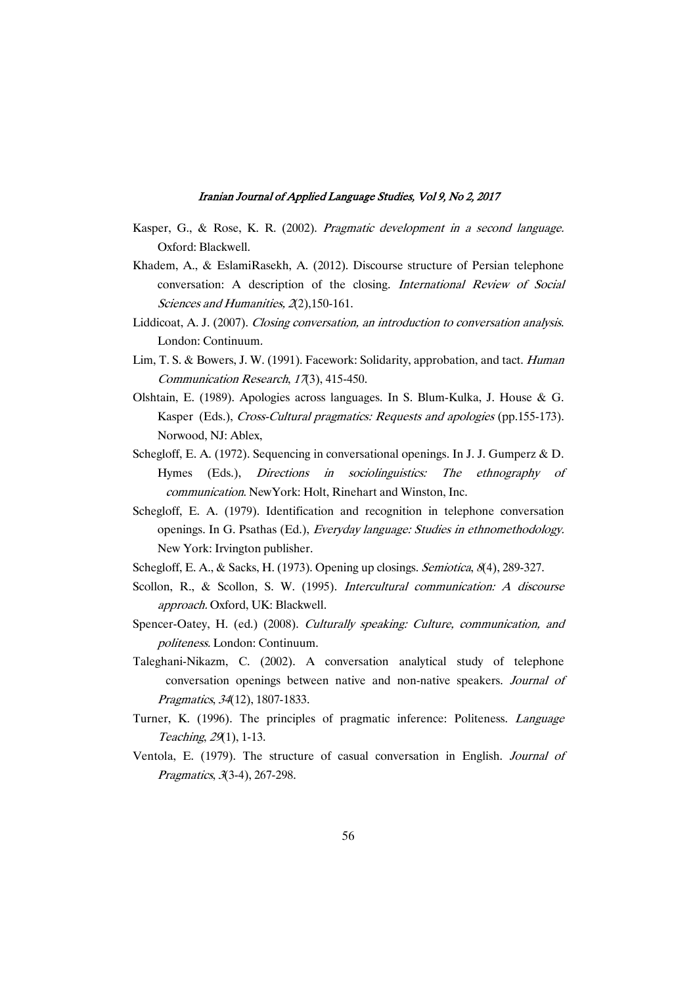- Kasper, G., & Rose, K. R. (2002). Pragmatic development in a second language. Oxford: Blackwell.
- Khadem, A., & EslamiRasekh, A. (2012). Discourse structure of Persian telephone conversation: A description of the closing. International Review of Social Sciences and Humanities, 2(2), 150-161.
- Liddicoat, A. J. (2007). Closing conversation, an introduction to conversation analysis. London: Continuum.
- Lim, T. S. & Bowers, J. W. (1991). Facework: Solidarity, approbation, and tact. Human Communication Research, 17(3), 415-450.
- Olshtain, E. (1989). Apologies across languages. In S. Blum-Kulka, J. House & G. Kasper (Eds.), Cross-Cultural pragmatics: Requests and apologies (pp.155-173). Norwood, NJ: Ablex,
- Schegloff, E. A. (1972). Sequencing in conversational openings. In J. J. Gumperz & D. Hymes (Eds.), Directions in sociolinguistics: The ethnography of communication. New York: Holt, Rinehart and Winston, Inc.
- Schegloff, E. A. (1979). Identification and recognition in telephone conversation openings. In G. Psathas (Ed.), Everyday language: Studies in ethnomethodology. New York: Irvington publisher.
- Schegloff, E. A., & Sacks, H. (1973). Opening up closings. Semiotica, 8(4), 289-327.
- Scollon, R., & Scollon, S. W. (1995). Intercultural communication: A discourse approach. Oxford, UK: Blackwell.
- Spencer-Oatey, H. (ed.) (2008). Culturally speaking: Culture, communication, and politeness.London:Continuum.
- Taleghani-Nikazm, C. (2002). A conversation analytical study of telephone conversation openings between native and non-native speakers. Journal of Pragmatics, 34(12), 1807-1833.
- Turner, K. (1996). The principles of pragmatic inference: Politeness. Language Teaching, 29(1), 1-13.
- Ventola, E. (1979). The structure of casual conversation in English. Journal of Pragmatics, 3(3-4), 267-298.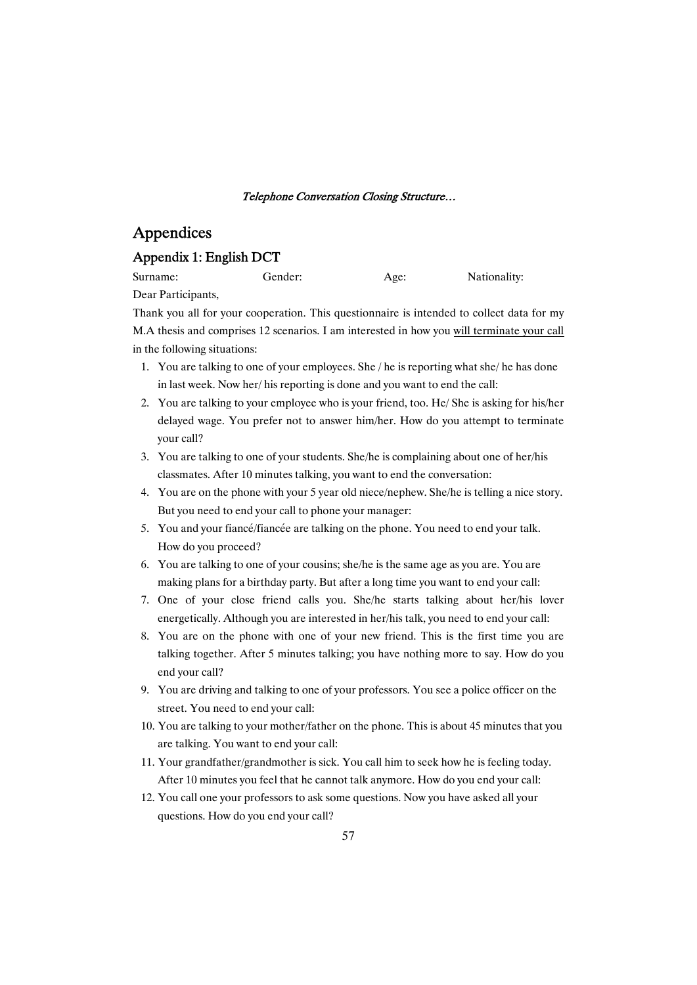## Appendices

### Appendix 1: English DCT

| Surname: | Gender: | Age: | Nationality: |
|----------|---------|------|--------------|
|          |         |      |              |

Dear Participants,

Thank you all for your cooperation. This questionnaire is intended to collect data for my M.A thesis and comprises 12 scenarios. I am interested in how you will terminate your call in the following situations:

- 1. You are talking to one of your employees. She / he is reporting what she/ he has done in last week. Now her/his reporting is done and you want to end the call:
- 2. You are talking to your employee who is your friend, too. He/She is asking for his/her delayed wage. You prefer not to answer him/her. How do you attempt to terminate vour call?
- 3. You are talking to one of your students. She/he is complaining about one of her/his classmates. After 10 minutes talking, you want to end the conversation:
- 4. You are on the phone with your 5 year old niece/nephew. She/he is telling a nice story. But you need to end your call to phone your manager:
- 5. You and your fiancé/fiancée are talking on the phone. You need to end your talk. How do you proceed?
- 6. You are talking to one of your cousins; she/he is the same age as you are. You are making plans for a birthday party. But after a long time you want to end your call:
- 7. One of your close friend calls you. She/he starts talking about her/his lover energetically. Although you are interested in her/his talk, you need to end your call:
- 8. You are on the phone with one of your new friend. This is the first time you are talking together. After 5 minutes talking; you have nothing more to say. How do you end your call?
- 9. You are driving and talking to one of your professors. You see a police officer on the street. You need to end your call:
- 10. You are talking to your mother/father on the phone. This is about 45 minutes that you are talking. You want to end your call:
- 11. Your grandfather/grandmother is sick. You call him to seek how he is feeling today. After 10 minutes you feel that he cannot talk anymore. How do you end your call:
- 12. You call one your professors to ask some questions. Now you have asked all your questions. How do you end your call?